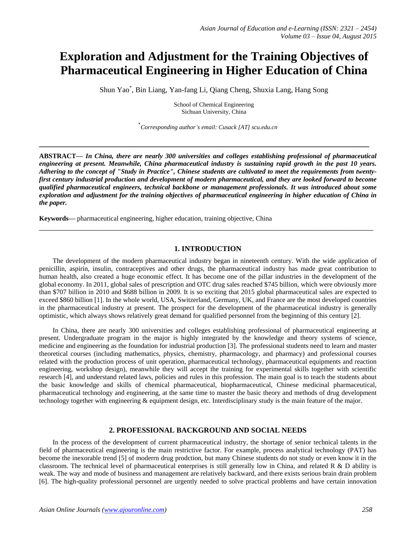# **Exploration and Adjustment for the Training Objectives of Pharmaceutical Engineering in Higher Education of China**

Shun Yao\* , Bin Liang, Yan-fang Li, Qiang Cheng, Shuxia Lang, Hang Song

School of Chemical Engineering Sichuan University, China

\* *Corresponding author's email: Cusack [AT] scu.edu.cn*

**\_\_\_\_\_\_\_\_\_\_\_\_\_\_\_\_\_\_\_\_\_\_\_\_\_\_\_\_\_\_\_\_\_\_\_\_\_\_\_\_\_\_\_\_\_\_\_\_\_\_\_\_\_\_\_\_\_\_\_\_\_\_\_\_\_\_\_\_\_\_\_\_\_\_\_\_\_\_\_\_\_**

**ABSTRACT—** *In China, there are nearly 300 universities and colleges establishing professional of pharmaceutical engineering at present. Meanwhile, China pharmaceutical industry is sustaining rapid growth in the past 10 years. Adhering to the concept of "Study in Practice", Chinese students are cultivated to meet the requirements from twentyfirst century industrial production and development of modern pharmaceutical, and they are looked forward to become qualified pharmaceutical engineers, technical backbone or management professionals. It was introduced about some exploration and adjustment for the training objectives of pharmaceutical engineering in higher education of China in the paper.*

**Keywords—** pharmaceutical engineering, higher education, training objective, China

## **1. INTRODUCTION**

\_\_\_\_\_\_\_\_\_\_\_\_\_\_\_\_\_\_\_\_\_\_\_\_\_\_\_\_\_\_\_\_\_\_\_\_\_\_\_\_\_\_\_\_\_\_\_\_\_\_\_\_\_\_\_\_\_\_\_\_\_\_\_\_\_\_\_\_\_\_\_\_\_\_\_\_\_\_\_\_\_\_

The development of the modern pharmaceutical industry began in nineteenth century. With the wide application of penicillin, aspirin, insulin, contraceptives and other drugs, the pharmaceutical industry has made great contribution to human health, also created a huge economic effect. It has become one of the pillar industries in the development of the global economy. In 2011, global sales of prescription and OTC drug sales reached \$745 billion, which were obviously more than \$707 billion in 2010 and \$688 billion in 2009. It is so exciting that 2015 global pharmaceutical sales are expected to exceed \$860 billion [1]. In the whole world, USA, Switzerland, Germany, UK, and France are the most developed countries in the pharmaceutical industry at present. The prospect for the development of the pharmaceutical industry is generally optimistic, which always shows relatively great demand for qualified personnel from the beginning of this century [2].

In China, there are nearly 300 universities and colleges establishing professional of pharmaceutical engineering at present. Undergraduate program in the major is highly integrated by the knowledge and theory systems of science, medicine and engineering as the foundation for industrial production [3]. The professional students need to learn and master theoretical courses (including mathematics, physics, chemistry, pharmacology, and pharmacy) and professional courses related with the production process of unit operation, pharmaceutical technology, pharmaceutical equipments and reaction engineering, workshop design), meanwhile they will accept the training for experimental skills together with scientific research [4], and understand related laws, policies and rules in this profession. The main goal is to teach the students about the basic knowledge and skills of chemical pharmaceutical, biopharmaceutical, Chinese medicinal pharmaceutical, pharmaceutical technology and engineering, at the same time to master the basic theory and methods of drug development technology together with engineering & equipment design, etc. Interdisciplinary study is the main feature of the major.

# **2. PROFESSIONAL BACKGROUND AND SOCIAL NEEDS**

In the process of the development of current pharmaceutical industry, the shortage of senior technical talents in the field of pharmaceutical engineering is the main restrictive factor. For example, process analytical technology (PAT) has become the inexorable trend [5] of moderrn drug prodction, but many Chinese students do not study or even know it in the classroom. The technical level of pharmaceutical enterprises is still generally low in China, and related R & D ability is weak. The way and mode of business and management are relatively backward, and there exists serious brain drain problem [6]. The high-quality professional personnel are urgently needed to solve practical problems and have certain innovation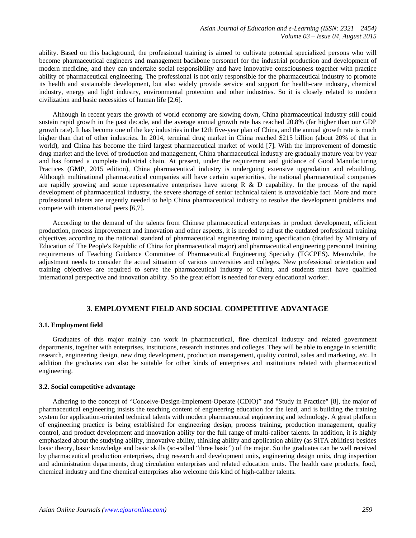ability. Based on this background, the professional training is aimed to cultivate potential specialized persons who will become pharmaceutical engineers and management backbone personnel for the industrial production and development of modern medicine, and they can undertake social responsibility and have innovative consciousness together with practice ability of pharmaceutical engineering. The professional is not only responsible for the pharmaceutical industry to promote its health and sustainable development, but also widely provide service and support for health-care industry, chemical industry, energy and light industry, environmental protection and other industries. So it is closely related to modern civilization and basic necessities of human life [2,6].

Although in recent years the growth of world economy are slowing down, China pharmaceutical industry still could sustain rapid growth in the past decade, and the average annual growth rate has reached 20.8% (far higher than our GDP growth rate). It has become one of the key industries in the 12th five-year plan of China, and the annual growth rate is much higher than that of other industries. In 2014, terminal drug market in China reached \$215 billion (about 20% of that in world), and China has become the third largest pharmaceutical market of world [7]. With the improvement of domestic drug market and the level of production and management, China pharmaceutical industry are gradually mature year by year and has formed a complete industrial chain. At present, under the requirement and guidance of Good Manufacturing Practices (GMP, 2015 edition), China pharmaceutical industry is undergoing extensive upgradation and rebuilding. Although multinational pharmaceutical companies still have certain superiorities, the national pharmaceutical companies are rapidly growing and some representative enterprises have strong R  $\&$  D capability. In the process of the rapid development of pharmaceutical industry, the severe shortage of senior technical talent is unavoidable fact. More and more professional talents are urgently needed to help China pharmaceutical industry to resolve the development problems and compete with international peers [6,7].

According to the demand of the talents from Chinese pharmaceutical enterprises in product development, efficient production, process improvement and innovation and other aspects, it is needed to adjust the outdated professional training objectives according to the national standard of pharmaceutical engineering training specification (drafted by Ministry of Education of The People's Republic of China for pharmaceutical major) and pharmaceutical engineering personnel training requirements of Teaching Guidance Committee of Pharmaceutical Engineering Specialty (TGCPES). Meanwhile, the adjustment needs to consider the actual situation of various universities and colleges. New professional orientation and training objectives are required to serve the pharmaceutical industry of China, and students must have qualified international perspective and innovation ability. So the great effort is needed for every educational worker.

## **3. EMPLOYMENT FIELD AND SOCIAL COMPETITIVE ADVANTAGE**

## **3.1. Employment field**

Graduates of this major mainly can work in pharmaceutical, fine chemical industry and related government departments, together with enterprises, institutions, research institutes and colleges. They will be able to engage in scientific research, engineering design, new drug development, production management, quality control, sales and marketing, *etc*. In addition the graduates can also be suitable for other kinds of enterprises and institutions related with pharmaceutical engineering.

#### **3.2. Social competitive advantage**

Adhering to the concept of "Conceive-Design-Implement-Operate (CDIO)" and "Study in Practice" [8], the major of pharmaceutical engineering insists the teaching content of engineering education for the lead, and is building the training system for application-oriented technical talents with modern pharmaceutical engineering and technology. A great platform of engineering practice is being established for engineering design, process training, production management, quality control, and product development and innovation ability for the full range of multi-caliber talents. In addition, it is highly emphasized about the studying ability, innovative ability, thinking ability and application ability (as SITA abilities) besides basic theory, basic knowledge and basic skills (so-called "three basic") of the major. So the graduates can be well received by pharmaceutical production enterprises, drug research and development units, engineering design units, drug inspection and administration departments, drug circulation enterprises and related education units. The health care products, food, chemical industry and fine chemical enterprises also welcome this kind of high-caliber talents.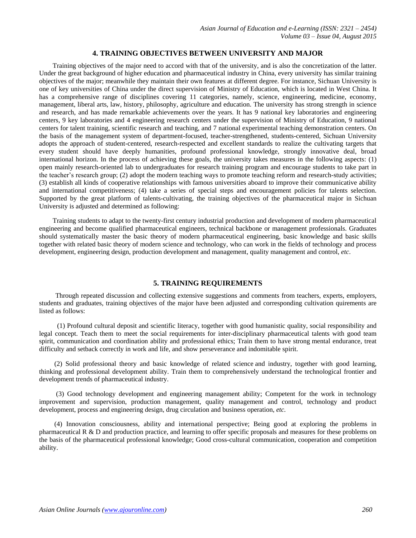# **4. TRAINING OBJECTIVES BETWEEN UNIVERSITY AND MAJOR**

Training objectives of the major need to accord with that of the university, and is also the [concretization](http://dict.cnki.net/dict_result.aspx?searchword=%e5%85%b7%e4%bd%93%e5%8c%96&tjType=sentence&style=&t=concretization) of the latter. Under the great background of higher education and pharmaceutical industry in China, every university has similar training objectives of the major; meanwhile they maintain their own features at different degree. For instance, Sichuan University is one of key universities of China under the direct supervision of Ministry of Education, which is located in West China. It has a comprehensive range of disciplines covering 11 categories, namely, science, engineering, medicine, economy, management, liberal arts, law, history, philosophy, agriculture and education. The university has strong strength in science and research, and has made remarkable achievements over the years. It has 9 national key laboratories and engineering centers, 9 key laboratories and 4 engineering research centers under the supervision of Ministry of Education, 9 national centers for talent training, scientific research and teaching, and 7 national experimental teaching demonstration centers. On the basis of the management system of department-focused, teacher-strengthened, students-centered, Sichuan University adopts the approach of student-centered, research-respected and excellent standards to realize the cultivating targets that every student should have deeply humanities, profound professional knowledge, strongly innovative deal, broad international horizon. In the process of achieving these goals, the university takes measures in the following aspects: (1) open mainly research-oriented lab to undergraduates for research training program and encourage students to take part in the teacher's research group; (2) adopt the modern teaching ways to promote teaching reform and research-study activities; (3) establish all kinds of cooperative relationships with famous universities aboard to improve their communicative ability and international competitiveness; (4) take a series of special steps and encouragement policies for talents selection. Supported by the great platform of talents-cultivating, the training objectives of the pharmaceutical major in Sichuan University is adjusted and determined as following:

Training students to adapt to the twenty-first century industrial production and development of modern pharmaceutical engineering and become qualified pharmaceutical engineers, technical backbone or management professionals. Graduates should systematically master the basic theory of modern pharmaceutical engineering, basic knowledge and basic skills together with related basic theory of modern science and technology, who can work in the fields of technology and process development, engineering design, production development and management, quality management and control, *etc*.

## **5. TRAINING REQUIREMENTS**

Through repeated discussion and collecting extensive suggestions and comments from teachers, experts, [employers](https://www.baidu.com/link?url=Rwl3U6byQLo1Gvi3rAAyvZpXQqOpKAcnuilOTFMmdifR8QwmzwCxczEQ0jDB1MqlfZFJyDdNLwBlfFJQl9WgIbSZPaWqtUqz0RkY2jEssia&wd=&eqid=88771a9b0003052c0000000355bc481b), students and graduates, training objectives of the major have been adjusted and corresponding cultivation quirements are listed as follows:

(1) Profound cultural deposit and scientific literacy, together with good humanistic quality, social responsibility and legal concept. Teach them to meet the social requirements for inter-disciplinary pharmaceutical talents with good team spirit, communication and coordination ability and professional ethics; Train them to have strong mental endurance, treat difficulty and setback correctly in work and life, and show perseverance and indomitable spirit.

(2) Solid professional theory and basic knowledge of related science and industry, together with good learning, thinking and professional development ability. Train them to comprehensively understand the technological frontier and development trends of pharmaceutical industry.

(3) Good technology development and engineering management ability; Competent for the work in technology improvement and supervision, production management, quality management and control, technology and product development, process and engineering design, drug circulation and business operation, *etc*.

(4) Innovation consciousness, ability and international perspective; Being good at exploring the problems in pharmaceutical R & D and production practice, and learning to offer specific proposals and measures for these problems on the basis of the pharmaceutical professional knowledge; Good cross-cultural communication, cooperation and competition ability.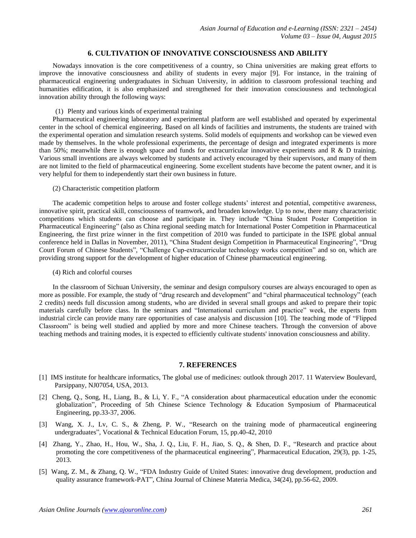# **6. CULTIVATION OF INNOVATIVE CONSCIOUSNESS AND ABILITY**

Nowadays innovation is the core competitiveness of a country, so China universities are making great efforts to improve the innovative consciousness and ability of students in every major [9]. For instance, in the training of pharmaceutical engineering undergraduates in Sichuan University, in addition to classroom professional teaching and humanities edification, it is also emphasized and strengthened for their innovation consciousness and technological innovation ability through the following ways:

(1) Plenty and various kinds of experimental training

Pharmaceutical engineering laboratory and experimental platform are well established and operated by experimental center in the school of chemical engineering. Based on all kinds of facilities and instruments, the students are trained with the experimental operation and simulation research systems. Solid models of equipments and workshop can be viewed even made by themselves. In the whole professional experiments, the percentage of design and integrated experiments is more than 50%; meanwhile there is enough space and funds for extracurricular innovative experiments and R & D training. Various small inventions are always welcomed by students and actively encouraged by their supervisors, and many of them are not limited to the field of pharmaceutical engineering. Some excellent students have become the [patent owner,](https://www.baidu.com/link?url=jrwOgTrZ6tYBspSoY9yNlAukRIv324mDpm6XV6mVbSz7-xk8xxm0zp-LAkbUbl0pZSeDUFUyLCfA5SkckovZOqTraHMF0wq0eyNtGUi1wu18fjDJK5E5LksK_J5pQsbt&wd=&eqid=d4c2f7450000758b0000000355bb2768) and it is very helpful for them to independently start their own business in future.

(2) Characteristic competition platform

The academic competition helps to arouse and foster college students' interest and potential, competitive awareness, innovative spirit, practical skill, [consciousness](https://www.baidu.com/link?url=ZK8an_CbnB6dpyATzUwI8kmIw2UKBt2KZC2vnxR_ZHaGUN5OlR6c8RgFPZQUhyftu9EuAPWv3PR9wlsnilP98R8vIqR0hY-PQvFTSBaEZPe&wd=&eqid=e9938ac50000c5370000000355bb2826) of teamwork, and broaden knowledge. Up to now, there many characteristic competitions which students can choose and participate in. They include "China Student Poster Competition in Pharmaceutical Engineering" (also as China regional seeding match for International Poster Competition in Pharmaceutical Engineering, the first prize winner in the first competition of 2010 was funded to participate in the ISPE global annual conference held in Dallas in November, 2011), "China Student design Competition in Pharmaceutical Engineering", "Drug Court Forum of Chinese Students", "Challenge Cup-extracurricular technology works competition" and so on, which are providing strong support for the development of higher education of Chinese pharmaceutical engineering.

(4) Rich and colorful courses

In the classroom of Sichuan University, the seminar and design compulsory courses are always encouraged to open as more as possible. For example, the study of "drug research and development" and "chiral pharmaceutical technology" (each 2 credits) needs full discussion among students, who are divided in several small groups and asked to prepare their topic materials carefully before class. In the seminars and "International curriculum and practice" week, the experts from industrial circle can provide many rare opportunities of case analysis and discussion [10]. The teaching mode of "Flipped Classroom" is being well studied and applied by more and more Chinese teachers. Through the conversion of above teaching methods and training modes, it is expected to efficiently cultivate students' innovation consciousness and ability.

## **7. REFERENCES**

- [1] IMS institute for healthcare informatics, The global use of medicines: outlook through 2017. 11 Waterview Boulevard, Parsippany, NJ07054, USA, 2013.
- [2] Cheng, Q., Song, H., Liang, B., & Li, Y. F., "A consideration about pharmaceutical education under the economic globalization", Proceeding of 5th Chinese Science Technology & Education Symposium of Pharmaceutical Engineering, pp.33-37, 2006.
- [3] Wang, X. J., Lv, C. S., & Zheng, P. W., "Research on the training mode of pharmaceutical engineering undergraduates", Vocational & Technical Education Forum, 15, pp.40-42, 2010
- [4] Zhang, Y., Zhao, H., Hou, W., Sha, J. Q., Liu, F. H., Jiao, S. Q., & Shen, D. F., "Research and practice about promoting the core competitiveness of the pharmaceutical engineering", Pharmaceutical Education, 29(3), pp. 1-25, 2013.
- [5] Wang, Z. M., & Zhang, Q. W., "FDA Industry Guide of United States: innovative drug development, production and quality assurance framework-PAT", China Journal of Chinese Materia Medica, 34(24), pp.56-62, 2009.